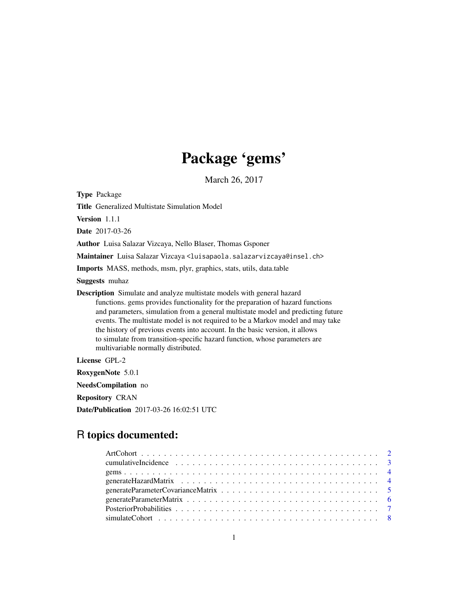# Package 'gems'

March 26, 2017

Type Package

Title Generalized Multistate Simulation Model

Version 1.1.1

Date 2017-03-26

Author Luisa Salazar Vizcaya, Nello Blaser, Thomas Gsponer

Maintainer Luisa Salazar Vizcaya <luisapaola.salazarvizcaya@insel.ch>

Imports MASS, methods, msm, plyr, graphics, stats, utils, data.table

Suggests muhaz

Description Simulate and analyze multistate models with general hazard functions. gems provides functionality for the preparation of hazard functions and parameters, simulation from a general multistate model and predicting future events. The multistate model is not required to be a Markov model and may take the history of previous events into account. In the basic version, it allows to simulate from transition-specific hazard function, whose parameters are multivariable normally distributed.

License GPL-2

RoxygenNote 5.0.1

NeedsCompilation no

Repository CRAN

Date/Publication 2017-03-26 16:02:51 UTC

# R topics documented: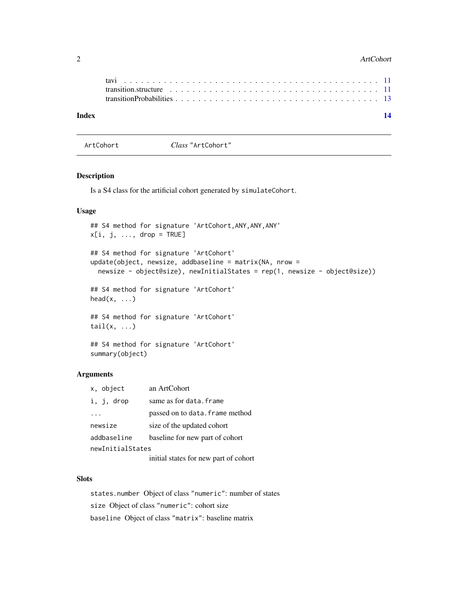#### <span id="page-1-0"></span>2 ArtCohort 2008 and 2008 and 2008 and 2008 and 2008 and 2008 and 2008 and 2008 and 2008 and 2008 and 2008 and 2008 and 2008 and 2008 and 2008 and 2008 and 2008 and 2008 and 2008 and 2008 and 2008 and 2008 and 2008 and 200

| transition.structure $\ldots \ldots \ldots \ldots \ldots \ldots \ldots \ldots \ldots \ldots \ldots \ldots \ldots$ | Index |  |  |  |  |  |  |  |  |  |  |  |  |  |  |  | 14 |
|-------------------------------------------------------------------------------------------------------------------|-------|--|--|--|--|--|--|--|--|--|--|--|--|--|--|--|----|
|                                                                                                                   |       |  |  |  |  |  |  |  |  |  |  |  |  |  |  |  |    |

<span id="page-1-1"></span>ArtCohort *Class* "ArtCohort"

# Description

Is a S4 class for the artificial cohort generated by simulateCohort.

# Usage

```
## S4 method for signature 'ArtCohort,ANY,ANY,ANY'
x[i, j, ..., drop = TRUE]## S4 method for signature 'ArtCohort'
update(object, newsize, addbaseline = matrix(NA, nrow =
  newsize - object@size), newInitialStates = rep(1, newsize - object@size))
## S4 method for signature 'ArtCohort'
head(x, \ldots)## S4 method for signature 'ArtCohort'
tail(x, \ldots)
```
## S4 method for signature 'ArtCohort' summary(object)

# Arguments

| x, object        | an ArtCohort                                                                                                                                                                                                                      |
|------------------|-----------------------------------------------------------------------------------------------------------------------------------------------------------------------------------------------------------------------------------|
| i, j, drop       | same as for data. frame                                                                                                                                                                                                           |
|                  | passed on to data. frame method                                                                                                                                                                                                   |
| newsize          | size of the updated cohort                                                                                                                                                                                                        |
| addbaseline      | baseline for new part of cohort                                                                                                                                                                                                   |
| newInitialStates |                                                                                                                                                                                                                                   |
|                  | $\mathbf{f}$ . It is the set of the set of the set of the set of the set of the set of the set of the set of the set of the set of the set of the set of the set of the set of the set of the set of the set of the set of the se |

initial states for new part of cohort

# Slots

states.number Object of class "numeric": number of states size Object of class "numeric": cohort size baseline Object of class "matrix": baseline matrix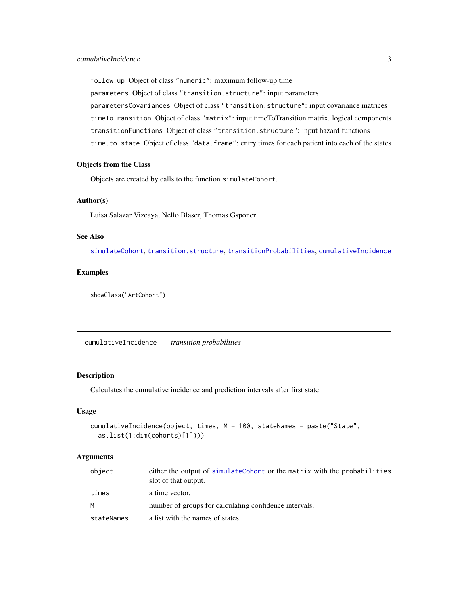<span id="page-2-0"></span>follow.up Object of class "numeric": maximum follow-up time parameters Object of class "transition.structure": input parameters parametersCovariances Object of class "transition.structure": input covariance matrices timeToTransition Object of class "matrix": input timeToTransition matrix. logical components transitionFunctions Object of class "transition.structure": input hazard functions time.to.state Object of class "data.frame": entry times for each patient into each of the states

# Objects from the Class

Objects are created by calls to the function simulateCohort.

# Author(s)

Luisa Salazar Vizcaya, Nello Blaser, Thomas Gsponer

# See Also

[simulateCohort](#page-7-1), [transition.structure](#page-10-1), [transitionProbabilities](#page-12-1), [cumulativeIncidence](#page-2-1)

# Examples

showClass("ArtCohort")

<span id="page-2-1"></span>cumulativeIncidence *transition probabilities*

### Description

Calculates the cumulative incidence and prediction intervals after first state

#### Usage

```
cumulativeIncidence(object, times, M = 100, stateNames = paste("State",
  as.list(1:dim(cohorts)[1])))
```
#### Arguments

| object     | either the output of simulateCohort or the matrix with the probabilities<br>slot of that output. |
|------------|--------------------------------------------------------------------------------------------------|
| times      | a time vector.                                                                                   |
| M          | number of groups for calculating confidence intervals.                                           |
| stateNames | a list with the names of states.                                                                 |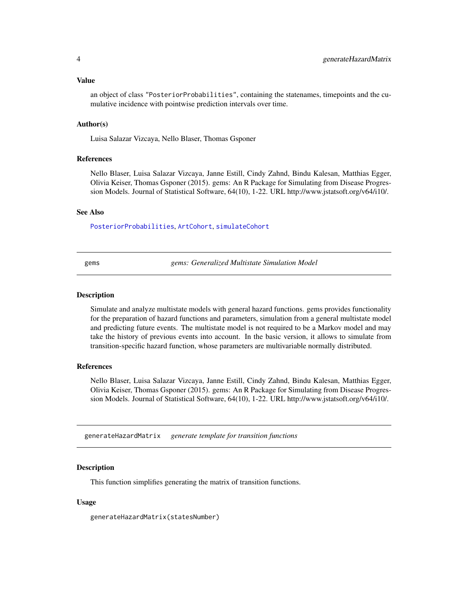<span id="page-3-0"></span>Value

an object of class "PosteriorProbabilities", containing the statenames, timepoints and the cumulative incidence with pointwise prediction intervals over time.

#### Author(s)

Luisa Salazar Vizcaya, Nello Blaser, Thomas Gsponer

# References

Nello Blaser, Luisa Salazar Vizcaya, Janne Estill, Cindy Zahnd, Bindu Kalesan, Matthias Egger, Olivia Keiser, Thomas Gsponer (2015). gems: An R Package for Simulating from Disease Progression Models. Journal of Statistical Software, 64(10), 1-22. URL http://www.jstatsoft.org/v64/i10/.

#### See Also

[PosteriorProbabilities](#page-6-1), [ArtCohort](#page-1-1), [simulateCohort](#page-7-1)

gems *gems: Generalized Multistate Simulation Model*

# Description

Simulate and analyze multistate models with general hazard functions. gems provides functionality for the preparation of hazard functions and parameters, simulation from a general multistate model and predicting future events. The multistate model is not required to be a Markov model and may take the history of previous events into account. In the basic version, it allows to simulate from transition-specific hazard function, whose parameters are multivariable normally distributed.

# References

Nello Blaser, Luisa Salazar Vizcaya, Janne Estill, Cindy Zahnd, Bindu Kalesan, Matthias Egger, Olivia Keiser, Thomas Gsponer (2015). gems: An R Package for Simulating from Disease Progression Models. Journal of Statistical Software, 64(10), 1-22. URL http://www.jstatsoft.org/v64/i10/.

<span id="page-3-1"></span>generateHazardMatrix *generate template for transition functions*

#### **Description**

This function simplifies generating the matrix of transition functions.

#### Usage

generateHazardMatrix(statesNumber)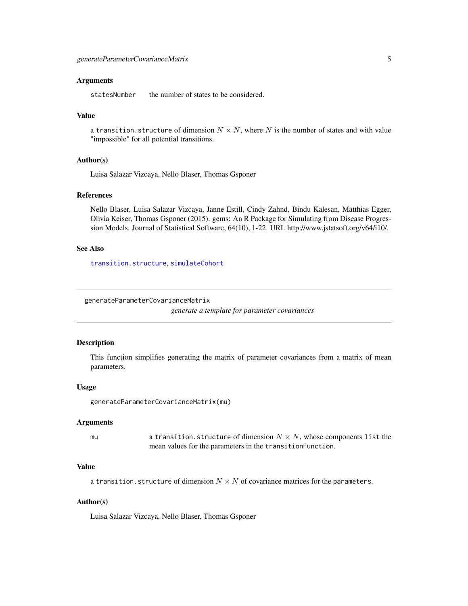# <span id="page-4-0"></span>Arguments

statesNumber the number of states to be considered.

# Value

a transition. structure of dimension  $N \times N$ , where N is the number of states and with value "impossible" for all potential transitions.

# Author(s)

Luisa Salazar Vizcaya, Nello Blaser, Thomas Gsponer

# References

Nello Blaser, Luisa Salazar Vizcaya, Janne Estill, Cindy Zahnd, Bindu Kalesan, Matthias Egger, Olivia Keiser, Thomas Gsponer (2015). gems: An R Package for Simulating from Disease Progression Models. Journal of Statistical Software, 64(10), 1-22. URL http://www.jstatsoft.org/v64/i10/.

# See Also

[transition.structure](#page-10-1), [simulateCohort](#page-7-1)

<span id="page-4-1"></span>generateParameterCovarianceMatrix

*generate a template for parameter covariances*

#### Description

This function simplifies generating the matrix of parameter covariances from a matrix of mean parameters.

#### Usage

```
generateParameterCovarianceMatrix(mu)
```
#### Arguments

mu a transition.structure of dimension  $N \times N$ , whose components list the mean values for the parameters in the transitionFunction.

# Value

a transition.structure of dimension  $N \times N$  of covariance matrices for the parameters.

#### Author(s)

Luisa Salazar Vizcaya, Nello Blaser, Thomas Gsponer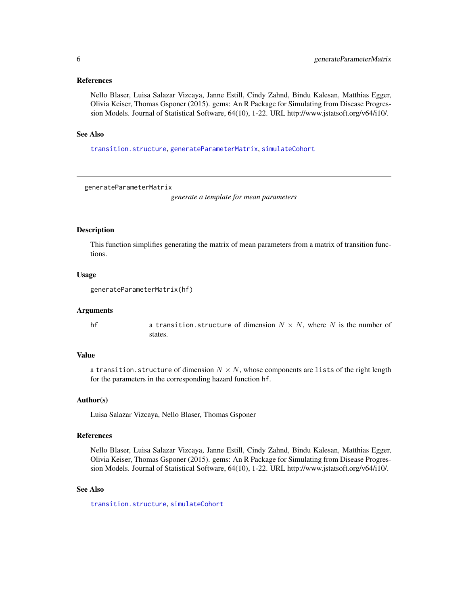# <span id="page-5-0"></span>References

Nello Blaser, Luisa Salazar Vizcaya, Janne Estill, Cindy Zahnd, Bindu Kalesan, Matthias Egger, Olivia Keiser, Thomas Gsponer (2015). gems: An R Package for Simulating from Disease Progression Models. Journal of Statistical Software, 64(10), 1-22. URL http://www.jstatsoft.org/v64/i10/.

# See Also

[transition.structure](#page-10-1), [generateParameterMatrix](#page-5-1), [simulateCohort](#page-7-1)

<span id="page-5-1"></span>generateParameterMatrix

*generate a template for mean parameters*

# Description

This function simplifies generating the matrix of mean parameters from a matrix of transition functions.

#### Usage

```
generateParameterMatrix(hf)
```
#### Arguments

hf a transition.structure of dimension  $N \times N$ , where N is the number of states.

#### Value

a transition. structure of dimension  $N \times N$ , whose components are lists of the right length for the parameters in the corresponding hazard function hf.

# Author(s)

Luisa Salazar Vizcaya, Nello Blaser, Thomas Gsponer

#### References

Nello Blaser, Luisa Salazar Vizcaya, Janne Estill, Cindy Zahnd, Bindu Kalesan, Matthias Egger, Olivia Keiser, Thomas Gsponer (2015). gems: An R Package for Simulating from Disease Progression Models. Journal of Statistical Software, 64(10), 1-22. URL http://www.jstatsoft.org/v64/i10/.

# See Also

[transition.structure](#page-10-1), [simulateCohort](#page-7-1)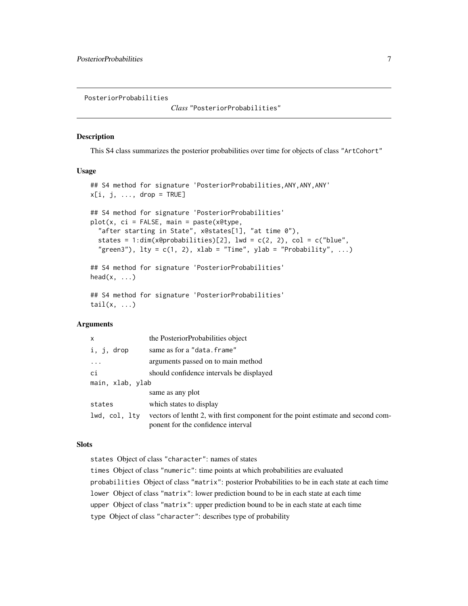<span id="page-6-1"></span><span id="page-6-0"></span>PosteriorProbabilities

*Class* "PosteriorProbabilities"

#### Description

This S4 class summarizes the posterior probabilities over time for objects of class "ArtCohort"

#### Usage

```
## S4 method for signature 'PosteriorProbabilities,ANY,ANY,ANY'
x[i, j, \ldots, drop = TRUE]## S4 method for signature 'PosteriorProbabilities'
plot(x, ci = FALSE, main = paste(x@type,
  "after starting in State", x@states[1], "at time 0"),
  states = 1:dim(x@probabilities)[2], lwd = c(2, 2), col = c("blue","green3"), lty = c(1, 2), xlab = "Time", ylab = "Probability", ...)## S4 method for signature 'PosteriorProbabilities'
head(x, \ldots)## S4 method for signature 'PosteriorProbabilities'
tail(x, \ldots)
```
# Arguments

| $\mathsf{x}$     | the PosteriorProbabilities object                                                                                      |
|------------------|------------------------------------------------------------------------------------------------------------------------|
| i, j,<br>drop    | same as for a "data.frame"                                                                                             |
|                  | arguments passed on to main method                                                                                     |
| ci               | should confidence intervals be displayed                                                                               |
| main, xlab, ylab |                                                                                                                        |
|                  | same as any plot                                                                                                       |
| states           | which states to display                                                                                                |
| lwd, col, lty    | vectors of lentht 2, with first component for the point estimate and second com-<br>ponent for the confidence interval |

# **Slots**

states Object of class "character": names of states

times Object of class "numeric": time points at which probabilities are evaluated probabilities Object of class "matrix": posterior Probabilities to be in each state at each time lower Object of class "matrix": lower prediction bound to be in each state at each time upper Object of class "matrix": upper prediction bound to be in each state at each time type Object of class "character": describes type of probability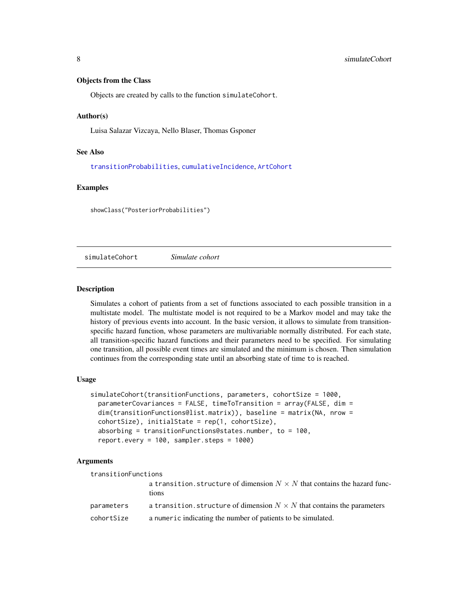# <span id="page-7-0"></span>Objects from the Class

Objects are created by calls to the function simulateCohort.

#### Author(s)

Luisa Salazar Vizcaya, Nello Blaser, Thomas Gsponer

# See Also

[transitionProbabilities](#page-12-1), [cumulativeIncidence](#page-2-1), [ArtCohort](#page-1-1)

# Examples

showClass("PosteriorProbabilities")

<span id="page-7-1"></span>simulateCohort *Simulate cohort*

# Description

Simulates a cohort of patients from a set of functions associated to each possible transition in a multistate model. The multistate model is not required to be a Markov model and may take the history of previous events into account. In the basic version, it allows to simulate from transitionspecific hazard function, whose parameters are multivariable normally distributed. For each state, all transition-specific hazard functions and their parameters need to be specified. For simulating one transition, all possible event times are simulated and the minimum is chosen. Then simulation continues from the corresponding state until an absorbing state of time to is reached.

#### Usage

```
simulateCohort(transitionFunctions, parameters, cohortSize = 1000,
  parameterCovariances = FALSE, timeToTransition = array(FALSE, dim =
  dim(transitionFunctions@list.matrix)), baseline = matrix(NA, nrow =
  cohortSize), initialState = rep(1, cohortSize),
  absorbing = transitionFunctions@states.number, to = 100,
 report.every = 100, sampler.steps = 1000)
```
# Arguments

| transitionFunctions |                                                                                           |
|---------------------|-------------------------------------------------------------------------------------------|
|                     | a transition, structure of dimension $N \times N$ that contains the hazard func-<br>tions |
| parameters          | a transition, structure of dimension $N \times N$ that contains the parameters            |
| cohortSize          | a numeric indicating the number of patients to be simulated.                              |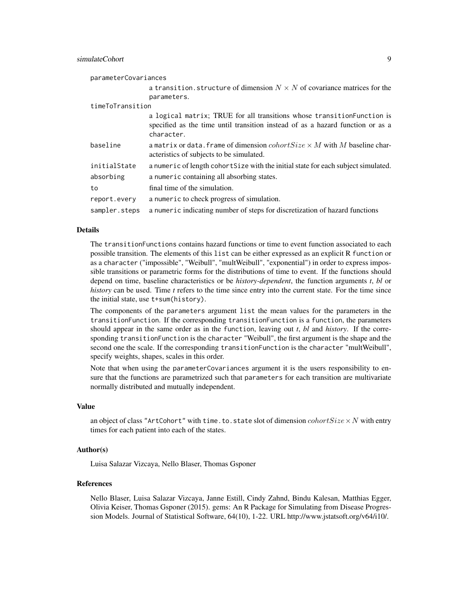# simulateCohort 9

| parameterCovariances |                                                                                                                                                                         |
|----------------------|-------------------------------------------------------------------------------------------------------------------------------------------------------------------------|
|                      | a transition, structure of dimension $N \times N$ of covariance matrices for the<br>parameters.                                                                         |
| timeToTransition     |                                                                                                                                                                         |
|                      | a logical matrix; TRUE for all transitions whose transition Function is<br>specified as the time until transition instead of as a hazard function or as a<br>character. |
| baseline             | a matrix or data. frame of dimension $colorSize \times M$ with M baseline char-<br>acteristics of subjects to be simulated.                                             |
| initialState         | a numeric of length cohort Size with the initial state for each subject simulated.                                                                                      |
| absorbing            | a numeric containing all absorbing states.                                                                                                                              |
| to                   | final time of the simulation.                                                                                                                                           |
| report.every         | a numeric to check progress of simulation.                                                                                                                              |
| sampler.steps        | a numeric indicating number of steps for discretization of hazard functions                                                                                             |

#### Details

The transitionFunctions contains hazard functions or time to event function associated to each possible transition. The elements of this list can be either expressed as an explicit R function or as a character ("impossible", "Weibull", "multWeibull", "exponential") in order to express impossible transitions or parametric forms for the distributions of time to event. If the functions should depend on time, baseline characteristics or be *history-dependent*, the function arguments *t*, *bl* or *history* can be used. Time *t* refers to the time since entry into the current state. For the time since the initial state, use t+sum(history).

The components of the parameters argument list the mean values for the parameters in the transitionFunction. If the corresponding transitionFunction is a function, the parameters should appear in the same order as in the function, leaving out *t*, *bl* and *history*. If the corresponding transitionFunction is the character "Weibull", the first argument is the shape and the second one the scale. If the corresponding transitionFunction is the character "multWeibull", specify weights, shapes, scales in this order.

Note that when using the parameterCovariances argument it is the users responsibility to ensure that the functions are parametrized such that parameters for each transition are multivariate normally distributed and mutually independent.

#### Value

an object of class "ArtCohort" with time.to.state slot of dimension  $colorSize \times N$  with entry times for each patient into each of the states.

# Author(s)

Luisa Salazar Vizcaya, Nello Blaser, Thomas Gsponer

# References

Nello Blaser, Luisa Salazar Vizcaya, Janne Estill, Cindy Zahnd, Bindu Kalesan, Matthias Egger, Olivia Keiser, Thomas Gsponer (2015). gems: An R Package for Simulating from Disease Progression Models. Journal of Statistical Software, 64(10), 1-22. URL http://www.jstatsoft.org/v64/i10/.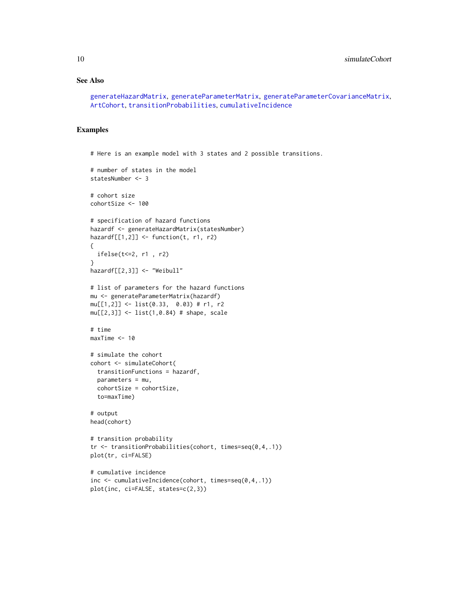# See Also

```
generateHazardMatrix, generateParameterMatrix, generateParameterCovarianceMatrix,
ArtCohort, transitionProbabilities, cumulativeIncidence
```
# Examples

```
# Here is an example model with 3 states and 2 possible transitions.
# number of states in the model
statesNumber <- 3
# cohort size
cohortSize <- 100
# specification of hazard functions
hazardf <- generateHazardMatrix(statesNumber)
hazardf[[1,2]] \leftarrow function(t, r1, r2)
{
  ifelse(t<=2, r1 , r2)
}
hazardf[[2,3]] <- "Weibull"
# list of parameters for the hazard functions
mu <- generateParameterMatrix(hazardf)
mu[[1,2]] <- list(0.33, 0.03) # r1, r2
mu[[2,3]] <- list(1,0.84) # shape, scale
# time
maxTime <- 10
# simulate the cohort
cohort <- simulateCohort(
  transitionFunctions = hazardf,
  parameters = mu,
  cohortSize = cohortSize,
  to=maxTime)
# output
head(cohort)
# transition probability
tr <- transitionProbabilities(cohort, times=seq(0,4,.1))
plot(tr, ci=FALSE)
# cumulative incidence
inc <- cumulativeIncidence(cohort, times=seq(0,4,.1))
plot(inc, ci=FALSE, states=c(2,3))
```
<span id="page-9-0"></span>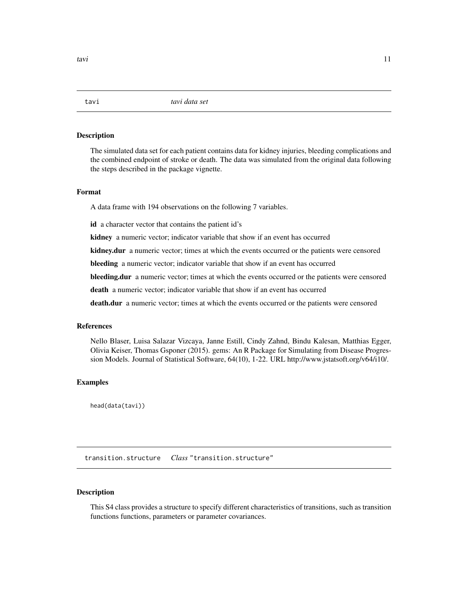<span id="page-10-0"></span>

# Description

The simulated data set for each patient contains data for kidney injuries, bleeding complications and the combined endpoint of stroke or death. The data was simulated from the original data following the steps described in the package vignette.

#### Format

A data frame with 194 observations on the following 7 variables.

id a character vector that contains the patient id's

kidney a numeric vector; indicator variable that show if an event has occurred

kidney.dur a numeric vector; times at which the events occurred or the patients were censored

bleeding a numeric vector; indicator variable that show if an event has occurred

bleeding.dur a numeric vector; times at which the events occurred or the patients were censored

death a numeric vector; indicator variable that show if an event has occurred

death.dur a numeric vector; times at which the events occurred or the patients were censored

#### **References**

Nello Blaser, Luisa Salazar Vizcaya, Janne Estill, Cindy Zahnd, Bindu Kalesan, Matthias Egger, Olivia Keiser, Thomas Gsponer (2015). gems: An R Package for Simulating from Disease Progression Models. Journal of Statistical Software, 64(10), 1-22. URL http://www.jstatsoft.org/v64/i10/.

# Examples

head(data(tavi))

<span id="page-10-1"></span>transition.structure *Class* "transition.structure"

# Description

This S4 class provides a structure to specify different characteristics of transitions, such as transition functions functions, parameters or parameter covariances.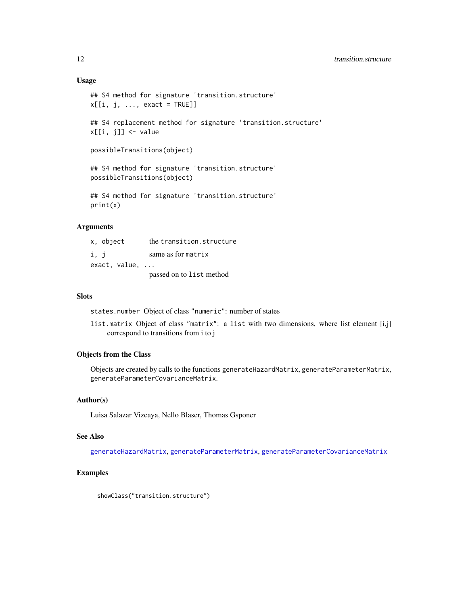# <span id="page-11-0"></span>Usage

```
## S4 method for signature 'transition.structure'
x[[i, j, ..., exact = TRUE]]## S4 replacement method for signature 'transition.structure'
x[[i, j]] <- value
possibleTransitions(object)
## S4 method for signature 'transition.structure'
possibleTransitions(object)
## S4 method for signature 'transition.structure'
```
print(x)

# Arguments

| x, object     | the transition.structure |
|---------------|--------------------------|
| i, j          | same as for matrix       |
| exact, value, |                          |
|               | passed on to list method |

# Slots

states.number Object of class "numeric": number of states

list.matrix Object of class "matrix": a list with two dimensions, where list element [i,j] correspond to transitions from i to j

# Objects from the Class

Objects are created by calls to the functions generateHazardMatrix, generateParameterMatrix, generateParameterCovarianceMatrix.

# Author(s)

Luisa Salazar Vizcaya, Nello Blaser, Thomas Gsponer

#### See Also

[generateHazardMatrix](#page-3-1), [generateParameterMatrix](#page-5-1), [generateParameterCovarianceMatrix](#page-4-1)

# Examples

showClass("transition.structure")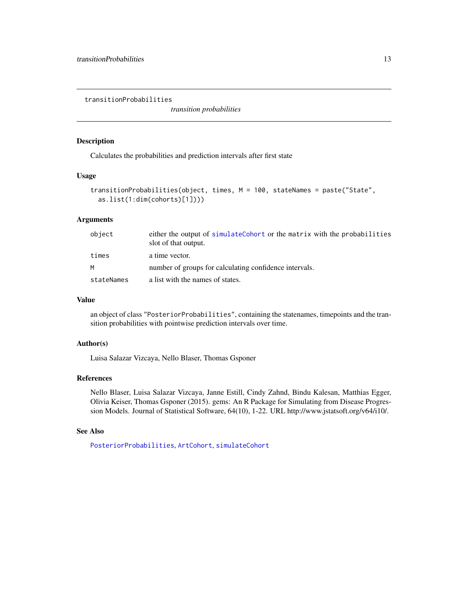<span id="page-12-1"></span><span id="page-12-0"></span>transitionProbabilities

*transition probabilities*

# Description

Calculates the probabilities and prediction intervals after first state

# Usage

```
transitionProbabilities(object, times, M = 100, stateNames = paste("State",
 as.list(1:dim(cohorts)[1])))
```
# Arguments

| object     | either the output of simulateCohort or the matrix with the probabilities<br>slot of that output. |
|------------|--------------------------------------------------------------------------------------------------|
| times      | a time vector.                                                                                   |
| M          | number of groups for calculating confidence intervals.                                           |
| stateNames | a list with the names of states.                                                                 |

# Value

an object of class "PosteriorProbabilities", containing the statenames, timepoints and the transition probabilities with pointwise prediction intervals over time.

# Author(s)

Luisa Salazar Vizcaya, Nello Blaser, Thomas Gsponer

# References

Nello Blaser, Luisa Salazar Vizcaya, Janne Estill, Cindy Zahnd, Bindu Kalesan, Matthias Egger, Olivia Keiser, Thomas Gsponer (2015). gems: An R Package for Simulating from Disease Progression Models. Journal of Statistical Software, 64(10), 1-22. URL http://www.jstatsoft.org/v64/i10/.

#### See Also

[PosteriorProbabilities](#page-6-1), [ArtCohort](#page-1-1), [simulateCohort](#page-7-1)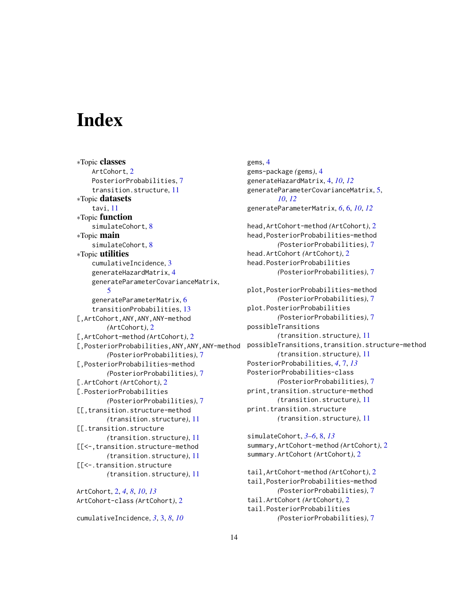# <span id="page-13-0"></span>Index

∗Topic classes ArtCohort, [2](#page-1-0) PosteriorProbabilities, [7](#page-6-0) transition.structure, [11](#page-10-0) ∗Topic datasets tavi, [11](#page-10-0) ∗Topic function simulateCohort, [8](#page-7-0) ∗Topic main simulateCohort, [8](#page-7-0) ∗Topic utilities cumulativeIncidence, [3](#page-2-0) generateHazardMatrix, [4](#page-3-0) generateParameterCovarianceMatrix, [5](#page-4-0) generateParameterMatrix, [6](#page-5-0) transitionProbabilities, [13](#page-12-0) [,ArtCohort,ANY,ANY,ANY-method *(*ArtCohort*)*, [2](#page-1-0) [,ArtCohort-method *(*ArtCohort*)*, [2](#page-1-0) [,PosteriorProbabilities,ANY,ANY,ANY-method *(*PosteriorProbabilities*)*, [7](#page-6-0) [,PosteriorProbabilities-method *(*PosteriorProbabilities*)*, [7](#page-6-0) [.ArtCohort *(*ArtCohort*)*, [2](#page-1-0) [.PosteriorProbabilities *(*PosteriorProbabilities*)*, [7](#page-6-0) [[,transition.structure-method *(*transition.structure*)*, [11](#page-10-0) [[.transition.structure *(*transition.structure*)*, [11](#page-10-0) [[<-,transition.structure-method *(*transition.structure*)*, [11](#page-10-0) [[<-.transition.structure *(*transition.structure*)*, [11](#page-10-0) ArtCohort, [2,](#page-1-0) *[4](#page-3-0)*, *[8](#page-7-0)*, *[10](#page-9-0)*, *[13](#page-12-0)* ArtCohort-class *(*ArtCohort*)*, [2](#page-1-0)

cumulativeIncidence, *[3](#page-2-0)*, [3,](#page-2-0) *[8](#page-7-0)*, *[10](#page-9-0)*

gems, [4](#page-3-0) gems-package *(*gems*)*, [4](#page-3-0) generateHazardMatrix, [4,](#page-3-0) *[10](#page-9-0)*, *[12](#page-11-0)* generateParameterCovarianceMatrix, [5,](#page-4-0) *[10](#page-9-0)*, *[12](#page-11-0)* generateParameterMatrix, *[6](#page-5-0)*, [6,](#page-5-0) *[10](#page-9-0)*, *[12](#page-11-0)* head,ArtCohort-method *(*ArtCohort*)*, [2](#page-1-0) head,PosteriorProbabilities-method *(*PosteriorProbabilities*)*, [7](#page-6-0) head.ArtCohort *(*ArtCohort*)*, [2](#page-1-0) head.PosteriorProbabilities *(*PosteriorProbabilities*)*, [7](#page-6-0) plot,PosteriorProbabilities-method *(*PosteriorProbabilities*)*, [7](#page-6-0) plot.PosteriorProbabilities *(*PosteriorProbabilities*)*, [7](#page-6-0) possibleTransitions *(*transition.structure*)*, [11](#page-10-0) possibleTransitions,transition.structure-method *(*transition.structure*)*, [11](#page-10-0) PosteriorProbabilities, *[4](#page-3-0)*, [7,](#page-6-0) *[13](#page-12-0)* PosteriorProbabilities-class *(*PosteriorProbabilities*)*, [7](#page-6-0) print, transition.structure-method *(*transition.structure*)*, [11](#page-10-0) print.transition.structure *(*transition.structure*)*, [11](#page-10-0)

simulateCohort, *[3](#page-2-0)[–6](#page-5-0)*, [8,](#page-7-0) *[13](#page-12-0)* summary,ArtCohort-method *(*ArtCohort*)*, [2](#page-1-0) summary.ArtCohort *(*ArtCohort*)*, [2](#page-1-0)

tail,ArtCohort-method *(*ArtCohort*)*, [2](#page-1-0) tail,PosteriorProbabilities-method *(*PosteriorProbabilities*)*, [7](#page-6-0) tail.ArtCohort *(*ArtCohort*)*, [2](#page-1-0) tail.PosteriorProbabilities *(*PosteriorProbabilities*)*, [7](#page-6-0)